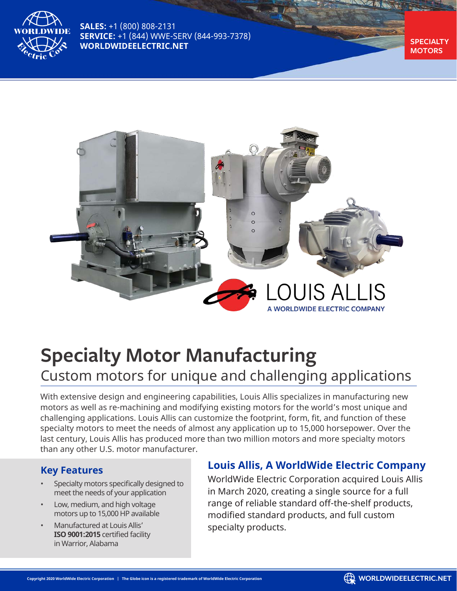

**SALES:** +1 (800) 808-2131 **SERVICE:** +1 (844) WWE-SERV (844-993-7378) **WORLDWIDEELECTRIC.NET** 

**MOTORS**



# **Specialty Motor Manufacturing** Custom motors for unique and challenging applications

With extensive design and engineering capabilities, Louis Allis specializes in manufacturing new motors as well as re-machining and modifying existing motors for the world's most unique and challenging applications. Louis Allis can customize the footprint, form, fit, and function of these specialty motors to meet the needs of almost any application up to 15,000 horsepower. Over the last century, Louis Allis has produced more than two million motors and more specialty motors than any other U.S. motor manufacturer.

#### **Key Features**

- Specialty motors specifically designed to meet the needs of your application
- Low, medium, and high voltage motors up to 15,000 HP available
- Manufactured at Louis Allis' **ISO 9001:2015** certified facility in Warrior, Alabama

### **Louis Allis, A WorldWide Electric Company**

WorldWide Electric Corporation acquired Louis Allis in March 2020, creating a single source for a full range of reliable standard off-the-shelf products, modified standard products, and full custom specialty products.